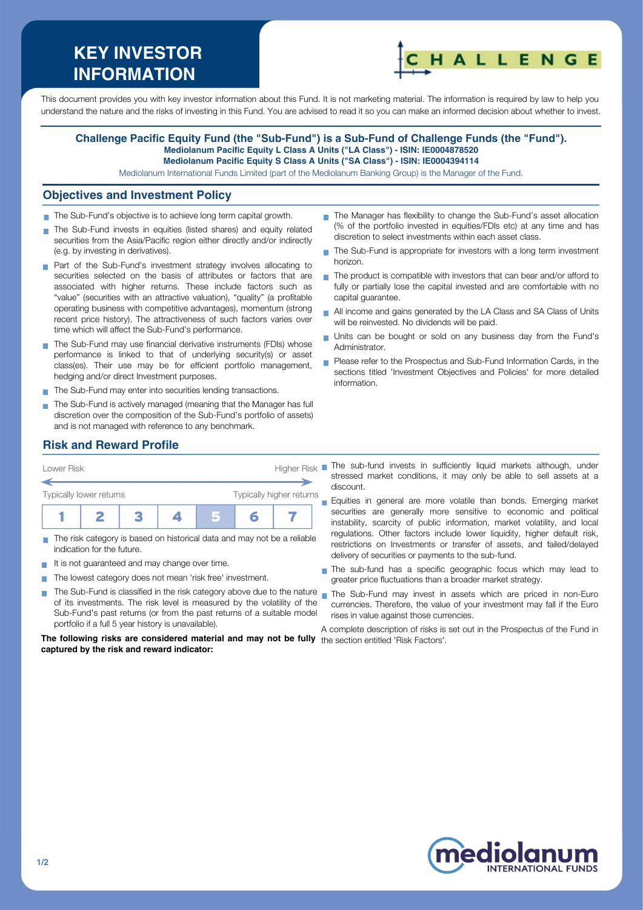# **KEY INVESTOR INFORMATION**



This document provides you with key investor information about this Fund. It is not marketing material. The information is required by law to help you understand the nature and the risks of investing in this Fund. You are advised to read it so you can make an informed decision about whether to invest.

#### **Challenge Pacific Equity Fund (the "Sub-Fund") is a Sub-Fund of Challenge Funds (the "Fund"). Mediolanum Pacific Equity L Class A Units ("LA Class") - ISIN: IE0004878520 Mediolanum Pacific Equity S Class A Units ("SA Class") - ISIN: IE0004394114**

Mediolanum International Funds Limited (part of the Mediolanum Banking Group) is the Manager of the Fund.

#### **Objectives and Investment Policy**

- The Sub-Fund's objective is to achieve long term capital growth.
- The Sub-Fund invests in equities (listed shares) and equity related securities from the Asia/Pacific region either directly and/or indirectly (e.g. by investing in derivatives).
- **Part of the Sub-Fund's investment strategy involves allocating to** securities selected on the basis of attributes or factors that are associated with higher returns. These include factors such as "value" (securities with an attractive valuation), "quality" (a profitable operating business with competitive advantages), momentum (strong recent price history). The attractiveness of such factors varies over time which will affect the Sub-Fund's performance.
- The Sub-Fund may use financial derivative instruments (FDIs) whose performance is linked to that of underlying security(s) or asset class(es). Their use may be for efficient portfolio management, hedging and/or direct Investment purposes.
- The Sub-Fund may enter into securities lending transactions.
- The Sub-Fund is actively managed (meaning that the Manager has full discretion over the composition of the Sub-Fund's portfolio of assets) and is not managed with reference to any benchmark.
- The Manager has flexibility to change the Sub-Fund's asset allocation (% of the portfolio invested in equities/FDIs etc) at any time and has discretion to select investments within each asset class.
- The Sub-Fund is appropriate for investors with a long term investment  $\overline{\phantom{a}}$ horizon.
- $\blacksquare$  The product is compatible with investors that can bear and/or afford to fully or partially lose the capital invested and are comfortable with no capital guarantee.
- All income and gains generated by the LA Class and SA Class of Units will be reinvested. No dividends will be paid.
- Units can be bought or sold on any business day from the Fund's Administrator.
- Please refer to the Prospectus and Sub-Fund Information Cards, in the sections titled 'Investment Objectives and Policies' for more detailed information.

# **Risk and Reward Profile**



- The risk category is based on historical data and may not be a reliable indication for the future.
- It is not quaranteed and may change over time.
- The lowest category does not mean 'risk free' investment.  $\sim$
- The Sub-Fund is classified in the risk category above due to the nature **T** of its investments. The risk level is measured by the volatility of the Sub-Fund's past returns (or from the past returns of a suitable model portfolio if a full 5 year history is unavailable).

**The following risks are considered material and may not be fully** the section entitled 'Risk Factors'.**captured by the risk and reward indicator:**

stressed market conditions, it may only be able to sell assets at a discount.

Equities in general are more volatile than bonds. Emerging market  $\blacksquare$ securities are generally more sensitive to economic and political instability, scarcity of public information, market volatility, and local regulations. Other factors include lower liquidity, higher default risk, restrictions on Investments or transfer of assets, and failed/delayed delivery of securities or payments to the sub-fund.

- The sub-fund has a specific geographic focus which may lead to greater price fluctuations than a broader market strategy.
- The Sub-Fund may invest in assets which are priced in non-Euro currencies. Therefore, the value of your investment may fall if the Euro rises in value against those currencies.

A complete description of risks is set out in the Prospectus of the Fund in